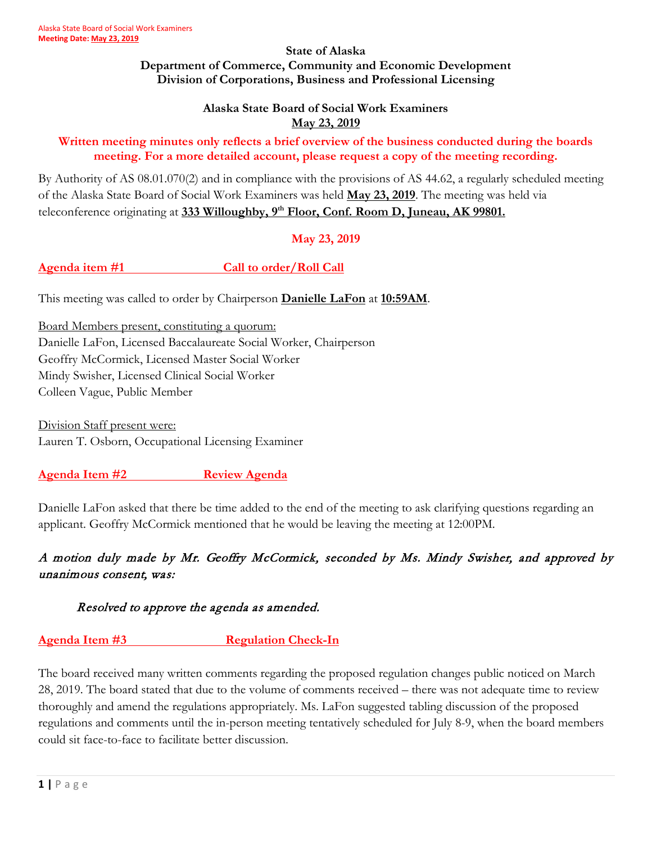#### **State of Alaska Department of Commerce, Community and Economic Development Division of Corporations, Business and Professional Licensing**

#### **Alaska State Board of Social Work Examiners May 23, 2019**

#### **Written meeting minutes only reflects a brief overview of the business conducted during the boards meeting. For a more detailed account, please request a copy of the meeting recording.**

By Authority of AS 08.01.070(2) and in compliance with the provisions of AS 44.62, a regularly scheduled meeting of the Alaska State Board of Social Work Examiners was held **May 23, 2019**. The meeting was held via teleconference originating at **333 Willoughby, 9th Floor, Conf. Room D, Juneau, AK 99801.**

#### **May 23, 2019**

Agenda item #1 Call to order/Roll Call

This meeting was called to order by Chairperson **Danielle LaFon** at **10:59AM**.

Board Members present, constituting a quorum: Danielle LaFon, Licensed Baccalaureate Social Worker, Chairperson Geoffry McCormick, Licensed Master Social Worker Mindy Swisher, Licensed Clinical Social Worker Colleen Vague, Public Member

Division Staff present were: Lauren T. Osborn, Occupational Licensing Examiner

**Agenda Item #2 Review Agenda**

Danielle LaFon asked that there be time added to the end of the meeting to ask clarifying questions regarding an applicant. Geoffry McCormick mentioned that he would be leaving the meeting at 12:00PM.

## A motion duly made by Mr. Geoffry McCormick, seconded by Ms. Mindy Swisher, and approved by unanimous consent, was:

Resolved to approve the agenda as amended.

#### **Agenda Item #3 Regulation Check-In**

The board received many written comments regarding the proposed regulation changes public noticed on March 28, 2019. The board stated that due to the volume of comments received – there was not adequate time to review thoroughly and amend the regulations appropriately. Ms. LaFon suggested tabling discussion of the proposed regulations and comments until the in-person meeting tentatively scheduled for July 8-9, when the board members could sit face-to-face to facilitate better discussion.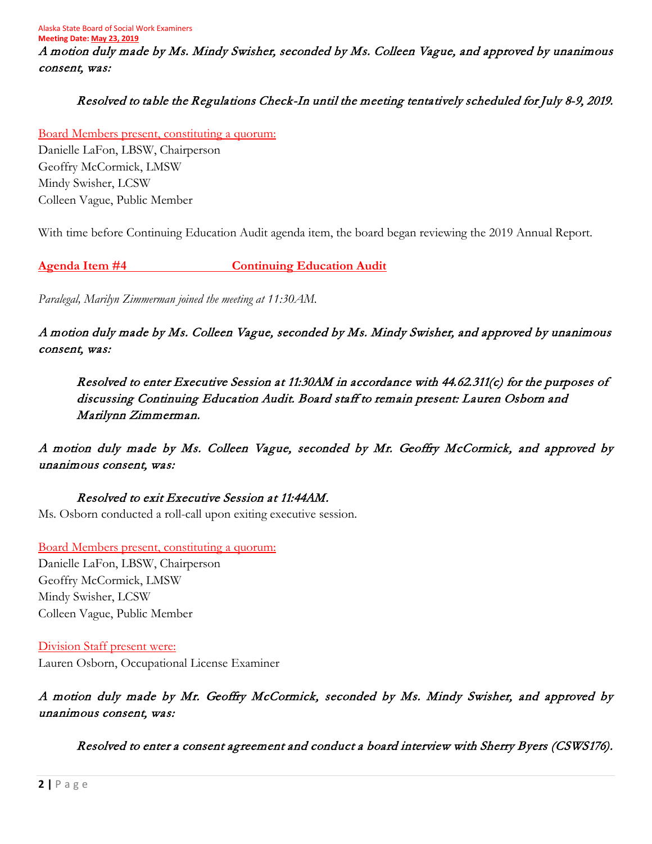Alaska State Board of Social Work Examiners **Meeting Date: May 23, 2019** A motion duly made by Ms. Mindy Swisher, seconded by Ms. Colleen Vague, and approved by unanimous consent, was:

#### Resolved to table the Regulations Check-In until the meeting tentatively scheduled for July 8-9, 2019.

Board Members present, constituting a quorum: Danielle LaFon, LBSW, Chairperson Geoffry McCormick, LMSW Mindy Swisher, LCSW Colleen Vague, Public Member

With time before Continuing Education Audit agenda item, the board began reviewing the 2019 Annual Report.

**Agenda Item #4 Continuing Education Audit**

*Paralegal, Marilyn Zimmerman joined the meeting at 11:30AM.*

A motion duly made by Ms. Colleen Vague, seconded by Ms. Mindy Swisher, and approved by unanimous consent, was:

Resolved to enter Executive Session at 11:30AM in accordance with 44.62.311(c) for the purposes of discussing Continuing Education Audit. Board staff to remain present: Lauren Osborn and Marilynn Zimmerman.

A motion duly made by Ms. Colleen Vague, seconded by Mr. Geoffry McCormick, and approved by unanimous consent, was:

Resolved to exit Executive Session at 11:44AM. Ms. Osborn conducted a roll-call upon exiting executive session.

Board Members present, constituting a quorum: Danielle LaFon, LBSW, Chairperson Geoffry McCormick, LMSW Mindy Swisher, LCSW Colleen Vague, Public Member

Division Staff present were: Lauren Osborn, Occupational License Examiner

A motion duly made by Mr. Geoffry McCormick, seconded by Ms. Mindy Swisher, and approved by unanimous consent, was:

Resolved to enter a consent agreement and conduct a board interview with Sherry Byers (CSWS176).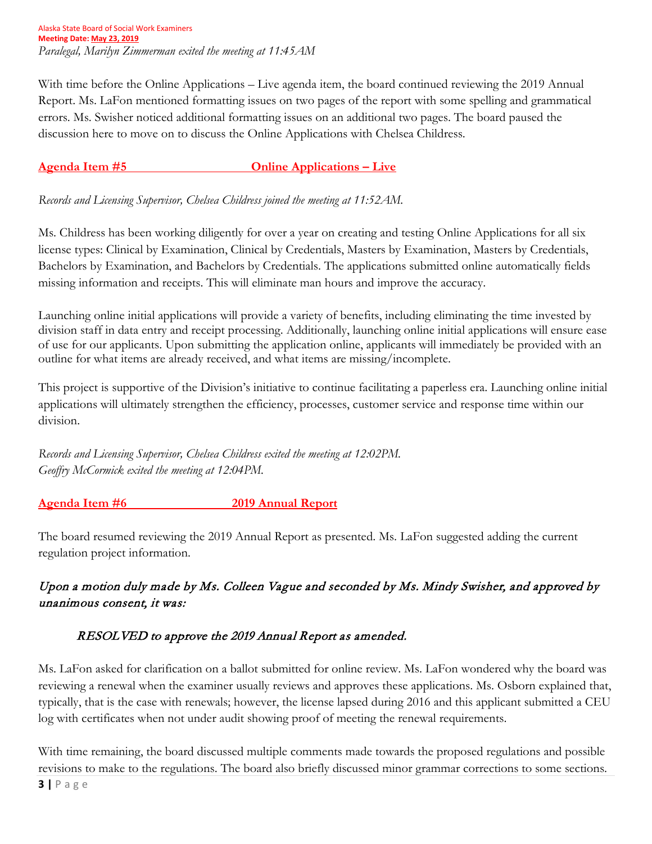Alaska State Board of Social Work Examiners **Meeting Date: May 23, 2019** *Paralegal, Marilyn Zimmerman exited the meeting at 11:45AM*

With time before the Online Applications – Live agenda item, the board continued reviewing the 2019 Annual Report. Ms. LaFon mentioned formatting issues on two pages of the report with some spelling and grammatical errors. Ms. Swisher noticed additional formatting issues on an additional two pages. The board paused the discussion here to move on to discuss the Online Applications with Chelsea Childress.

### **Agenda Item #5 Online Applications – Live**

*Records and Licensing Supervisor, Chelsea Childress joined the meeting at 11:52AM.* 

Ms. Childress has been working diligently for over a year on creating and testing Online Applications for all six license types: Clinical by Examination, Clinical by Credentials, Masters by Examination, Masters by Credentials, Bachelors by Examination, and Bachelors by Credentials. The applications submitted online automatically fields missing information and receipts. This will eliminate man hours and improve the accuracy.

Launching online initial applications will provide a variety of benefits, including eliminating the time invested by division staff in data entry and receipt processing. Additionally, launching online initial applications will ensure ease of use for our applicants. Upon submitting the application online, applicants will immediately be provided with an outline for what items are already received, and what items are missing/incomplete.

This project is supportive of the Division's initiative to continue facilitating a paperless era. Launching online initial applications will ultimately strengthen the efficiency, processes, customer service and response time within our division.

*Records and Licensing Supervisor, Chelsea Childress exited the meeting at 12:02PM. Geoffry McCormick exited the meeting at 12:04PM.* 

#### **Agenda Item #6 2019 Annual Report**

The board resumed reviewing the 2019 Annual Report as presented. Ms. LaFon suggested adding the current regulation project information.

# Upon a motion duly made by Ms. Colleen Vague and seconded by Ms. Mindy Swisher, and approved by unanimous consent, it was:

#### RESOLVED to approve the 2019 Annual Report as amended.

Ms. LaFon asked for clarification on a ballot submitted for online review. Ms. LaFon wondered why the board was reviewing a renewal when the examiner usually reviews and approves these applications. Ms. Osborn explained that, typically, that is the case with renewals; however, the license lapsed during 2016 and this applicant submitted a CEU log with certificates when not under audit showing proof of meeting the renewal requirements.

With time remaining, the board discussed multiple comments made towards the proposed regulations and possible revisions to make to the regulations. The board also briefly discussed minor grammar corrections to some sections.